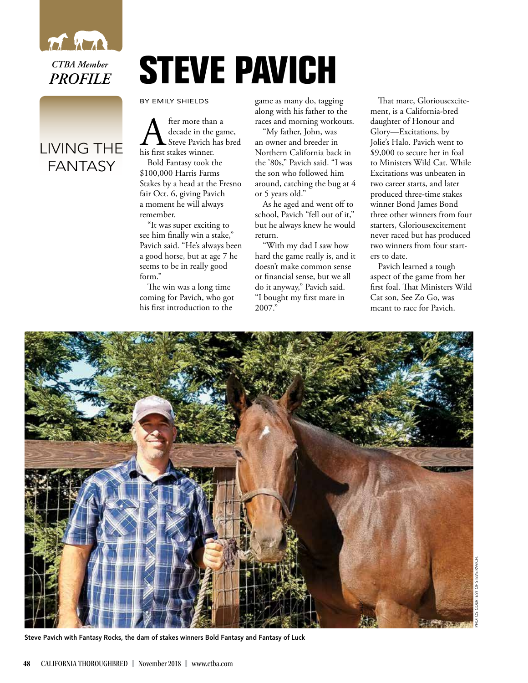

## LIVING THE FANTASY

## **STEVE PAVICH**

BY EMILY SHIELDS

A fter more than a<br>decade in the gar<br>his first stakes winner. decade in the game, Steve Pavich has bred

Bold Fantasy took the \$100,000 Harris Farms Stakes by a head at the Fresno fair Oct. 6, giving Pavich a moment he will always remember.

"It was super exciting to see him finally win a stake," Pavich said. "He's always been a good horse, but at age 7 he seems to be in really good form."

The win was a long time coming for Pavich, who got his first introduction to the

game as many do, tagging along with his father to the races and morning workouts.

"My father, John, was an owner and breeder in Northern California back in the '80s," Pavich said. "I was the son who followed him around, catching the bug at 4 or 5 years old."

As he aged and went off to school, Pavich "fell out of it," but he always knew he would return.

"With my dad I saw how hard the game really is, and it doesn't make common sense or financial sense, but we all do it anyway," Pavich said. "I bought my first mare in 2007."

That mare, Gloriousexcitement, is a California-bred daughter of Honour and Glory—Excitations, by Jolie's Halo. Pavich went to \$9,000 to secure her in foal to Ministers Wild Cat. While Excitations was unbeaten in two career starts, and later produced three-time stakes winner Bond James Bond three other winners from four starters, Gloriousexcitement never raced but has produced two winners from four starters to date.

Pavich learned a tough aspect of the game from her first foal. That Ministers Wild Cat son, See Zo Go, was meant to race for Pavich.



Steve Pavich with Fantasy Rocks, the dam of stakes winners Bold Fantasy and Fantasy of Luck